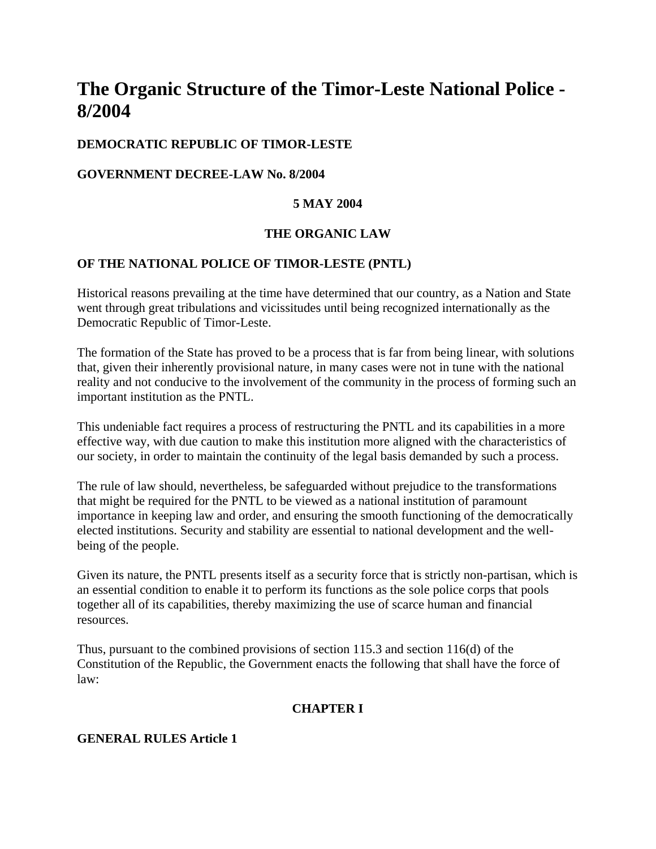# **The Organic Structure of the Timor-Leste National Police - 8/2004**

# **DEMOCRATIC REPUBLIC OF TIMOR-LESTE**

# **GOVERNMENT DECREE-LAW No. 8/2004**

## **5 MAY 2004**

# **THE ORGANIC LAW**

## **OF THE NATIONAL POLICE OF TIMOR-LESTE (PNTL)**

Historical reasons prevailing at the time have determined that our country, as a Nation and State went through great tribulations and vicissitudes until being recognized internationally as the Democratic Republic of Timor-Leste.

The formation of the State has proved to be a process that is far from being linear, with solutions that, given their inherently provisional nature, in many cases were not in tune with the national reality and not conducive to the involvement of the community in the process of forming such an important institution as the PNTL.

This undeniable fact requires a process of restructuring the PNTL and its capabilities in a more effective way, with due caution to make this institution more aligned with the characteristics of our society, in order to maintain the continuity of the legal basis demanded by such a process.

The rule of law should, nevertheless, be safeguarded without prejudice to the transformations that might be required for the PNTL to be viewed as a national institution of paramount importance in keeping law and order, and ensuring the smooth functioning of the democratically elected institutions. Security and stability are essential to national development and the wellbeing of the people.

Given its nature, the PNTL presents itself as a security force that is strictly non-partisan, which is an essential condition to enable it to perform its functions as the sole police corps that pools together all of its capabilities, thereby maximizing the use of scarce human and financial resources.

Thus, pursuant to the combined provisions of section 115.3 and section 116(d) of the Constitution of the Republic, the Government enacts the following that shall have the force of law:

# **CHAPTER I**

## **GENERAL RULES Article 1**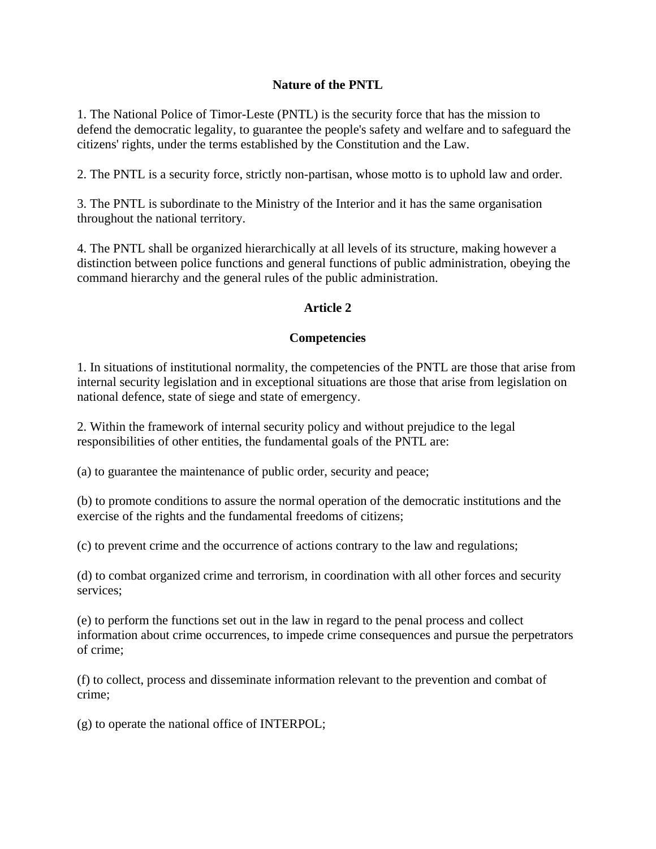# **Nature of the PNTL**

1. The National Police of Timor-Leste (PNTL) is the security force that has the mission to defend the democratic legality, to guarantee the people's safety and welfare and to safeguard the citizens' rights, under the terms established by the Constitution and the Law.

2. The PNTL is a security force, strictly non-partisan, whose motto is to uphold law and order.

3. The PNTL is subordinate to the Ministry of the Interior and it has the same organisation throughout the national territory.

4. The PNTL shall be organized hierarchically at all levels of its structure, making however a distinction between police functions and general functions of public administration, obeying the command hierarchy and the general rules of the public administration.

## **Article 2**

#### **Competencies**

1. In situations of institutional normality, the competencies of the PNTL are those that arise from internal security legislation and in exceptional situations are those that arise from legislation on national defence, state of siege and state of emergency.

2. Within the framework of internal security policy and without prejudice to the legal responsibilities of other entities, the fundamental goals of the PNTL are:

(a) to guarantee the maintenance of public order, security and peace;

(b) to promote conditions to assure the normal operation of the democratic institutions and the exercise of the rights and the fundamental freedoms of citizens;

(c) to prevent crime and the occurrence of actions contrary to the law and regulations;

(d) to combat organized crime and terrorism, in coordination with all other forces and security services;

(e) to perform the functions set out in the law in regard to the penal process and collect information about crime occurrences, to impede crime consequences and pursue the perpetrators of crime;

(f) to collect, process and disseminate information relevant to the prevention and combat of crime;

(g) to operate the national office of INTERPOL;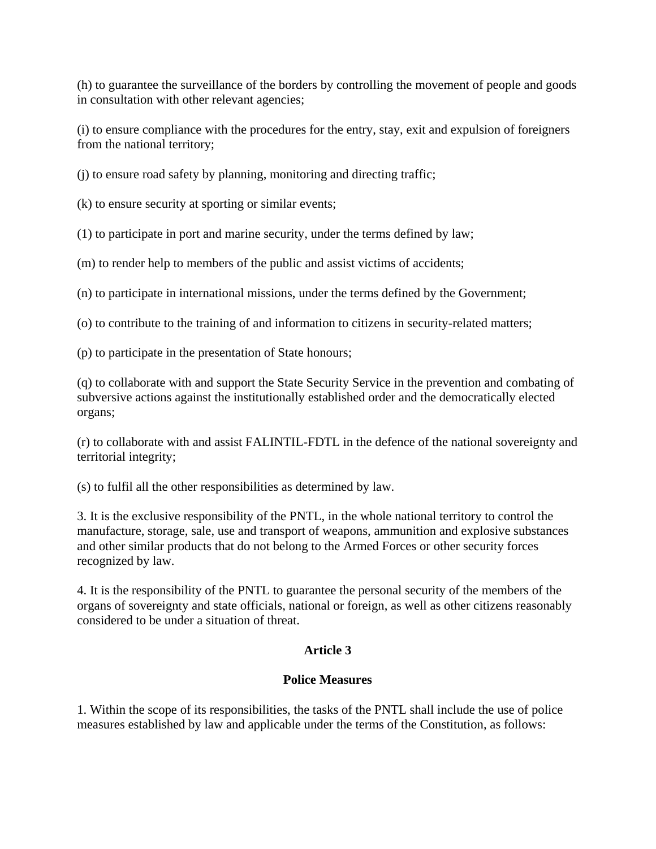(h) to guarantee the surveillance of the borders by controlling the movement of people and goods in consultation with other relevant agencies;

(i) to ensure compliance with the procedures for the entry, stay, exit and expulsion of foreigners from the national territory;

(j) to ensure road safety by planning, monitoring and directing traffic;

(k) to ensure security at sporting or similar events;

(1) to participate in port and marine security, under the terms defined by law;

(m) to render help to members of the public and assist victims of accidents;

(n) to participate in international missions, under the terms defined by the Government;

(o) to contribute to the training of and information to citizens in security-related matters;

(p) to participate in the presentation of State honours;

(q) to collaborate with and support the State Security Service in the prevention and combating of subversive actions against the institutionally established order and the democratically elected organs;

(r) to collaborate with and assist FALINTIL-FDTL in the defence of the national sovereignty and territorial integrity;

(s) to fulfil all the other responsibilities as determined by law.

3. It is the exclusive responsibility of the PNTL, in the whole national territory to control the manufacture, storage, sale, use and transport of weapons, ammunition and explosive substances and other similar products that do not belong to the Armed Forces or other security forces recognized by law.

4. It is the responsibility of the PNTL to guarantee the personal security of the members of the organs of sovereignty and state officials, national or foreign, as well as other citizens reasonably considered to be under a situation of threat.

# **Article 3**

# **Police Measures**

1. Within the scope of its responsibilities, the tasks of the PNTL shall include the use of police measures established by law and applicable under the terms of the Constitution, as follows: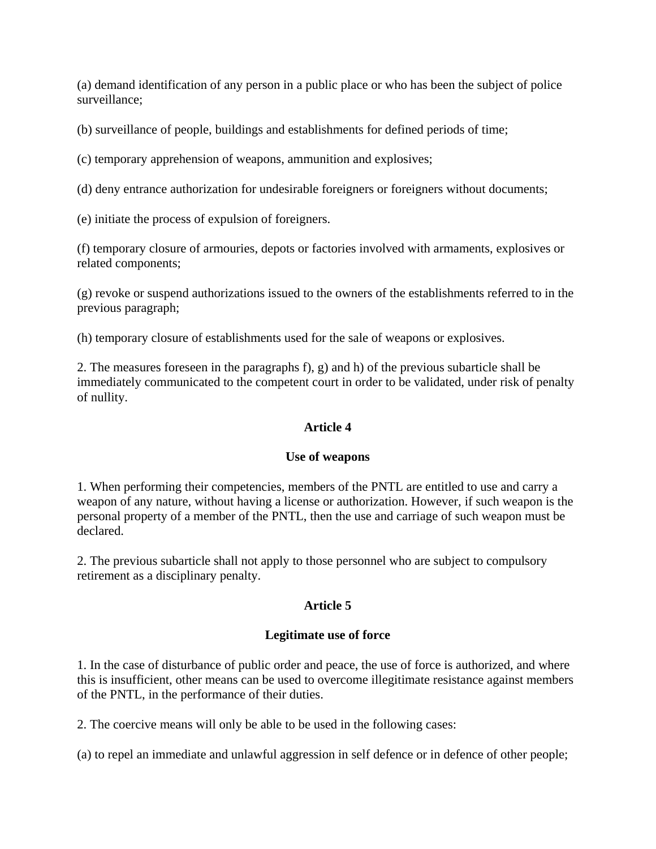(a) demand identification of any person in a public place or who has been the subject of police surveillance;

(b) surveillance of people, buildings and establishments for defined periods of time;

(c) temporary apprehension of weapons, ammunition and explosives;

(d) deny entrance authorization for undesirable foreigners or foreigners without documents;

(e) initiate the process of expulsion of foreigners.

(f) temporary closure of armouries, depots or factories involved with armaments, explosives or related components;

(g) revoke or suspend authorizations issued to the owners of the establishments referred to in the previous paragraph;

(h) temporary closure of establishments used for the sale of weapons or explosives.

2. The measures foreseen in the paragraphs f), g) and h) of the previous subarticle shall be immediately communicated to the competent court in order to be validated, under risk of penalty of nullity.

## **Article 4**

## **Use of weapons**

1. When performing their competencies, members of the PNTL are entitled to use and carry a weapon of any nature, without having a license or authorization. However, if such weapon is the personal property of a member of the PNTL, then the use and carriage of such weapon must be declared.

2. The previous subarticle shall not apply to those personnel who are subject to compulsory retirement as a disciplinary penalty.

## **Article 5**

## **Legitimate use of force**

1. In the case of disturbance of public order and peace, the use of force is authorized, and where this is insufficient, other means can be used to overcome illegitimate resistance against members of the PNTL, in the performance of their duties.

2. The coercive means will only be able to be used in the following cases:

(a) to repel an immediate and unlawful aggression in self defence or in defence of other people;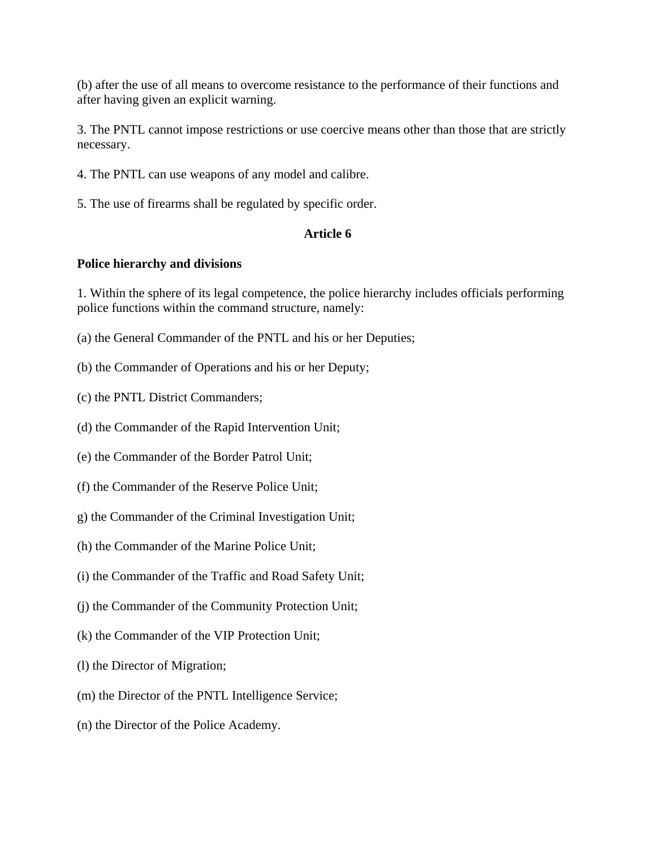(b) after the use of all means to overcome resistance to the performance of their functions and after having given an explicit warning.

3. The PNTL cannot impose restrictions or use coercive means other than those that are strictly necessary.

- 4. The PNTL can use weapons of any model and calibre.
- 5. The use of firearms shall be regulated by specific order.

## **Article 6**

#### **Police hierarchy and divisions**

1. Within the sphere of its legal competence, the police hierarchy includes officials performing police functions within the command structure, namely:

- (a) the General Commander of the PNTL and his or her Deputies;
- (b) the Commander of Operations and his or her Deputy;
- (c) the PNTL District Commanders;
- (d) the Commander of the Rapid Intervention Unit;
- (e) the Commander of the Border Patrol Unit;
- (f) the Commander of the Reserve Police Unit;
- g) the Commander of the Criminal Investigation Unit;
- (h) the Commander of the Marine Police Unit;
- (i) the Commander of the Traffic and Road Safety Unit;
- (j) the Commander of the Community Protection Unit;
- (k) the Commander of the VIP Protection Unit;
- (l) the Director of Migration;
- (m) the Director of the PNTL Intelligence Service;
- (n) the Director of the Police Academy.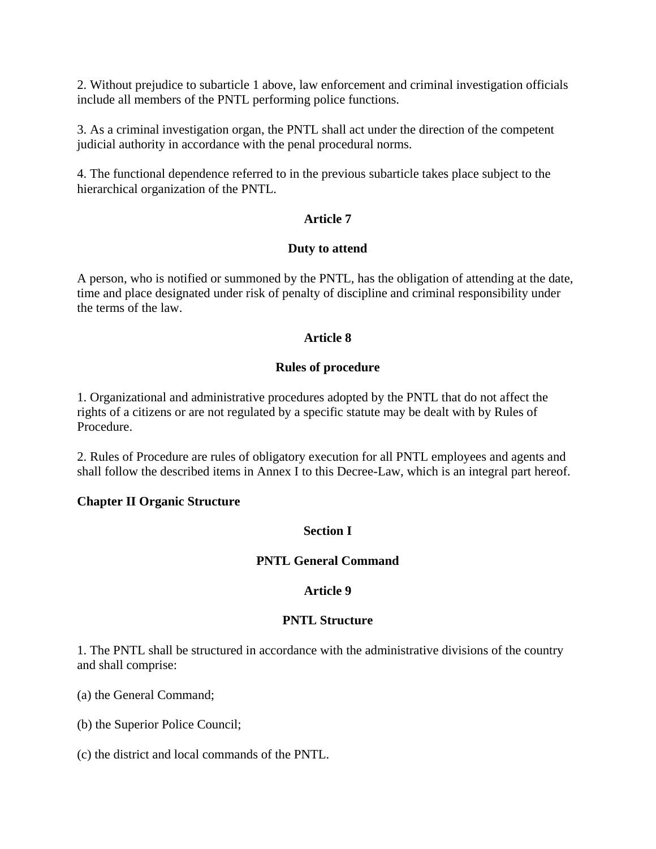2. Without prejudice to subarticle 1 above, law enforcement and criminal investigation officials include all members of the PNTL performing police functions.

3. As a criminal investigation organ, the PNTL shall act under the direction of the competent judicial authority in accordance with the penal procedural norms.

4. The functional dependence referred to in the previous subarticle takes place subject to the hierarchical organization of the PNTL.

## **Article 7**

## **Duty to attend**

A person, who is notified or summoned by the PNTL, has the obligation of attending at the date, time and place designated under risk of penalty of discipline and criminal responsibility under the terms of the law.

# **Article 8**

## **Rules of procedure**

1. Organizational and administrative procedures adopted by the PNTL that do not affect the rights of a citizens or are not regulated by a specific statute may be dealt with by Rules of Procedure.

2. Rules of Procedure are rules of obligatory execution for all PNTL employees and agents and shall follow the described items in Annex I to this Decree-Law, which is an integral part hereof.

## **Chapter II Organic Structure**

# **Section I**

# **PNTL General Command**

# **Article 9**

## **PNTL Structure**

1. The PNTL shall be structured in accordance with the administrative divisions of the country and shall comprise:

(a) the General Command;

(b) the Superior Police Council;

(c) the district and local commands of the PNTL.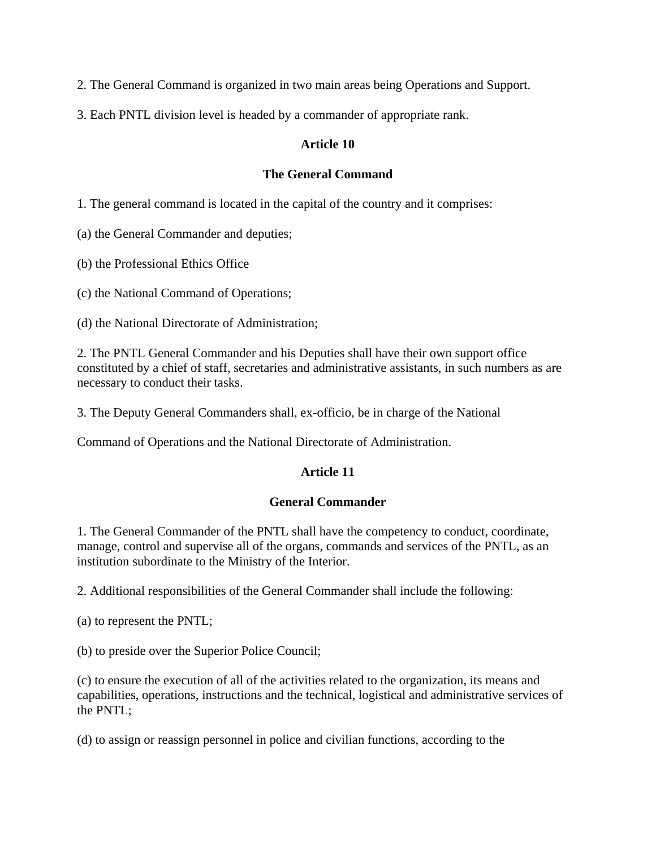- 2. The General Command is organized in two main areas being Operations and Support.
- 3. Each PNTL division level is headed by a commander of appropriate rank.

## **Article 10**

## **The General Command**

1. The general command is located in the capital of the country and it comprises:

(a) the General Commander and deputies;

(b) the Professional Ethics Office

(c) the National Command of Operations;

(d) the National Directorate of Administration;

2. The PNTL General Commander and his Deputies shall have their own support office constituted by a chief of staff, secretaries and administrative assistants, in such numbers as are necessary to conduct their tasks.

3. The Deputy General Commanders shall, ex-officio, be in charge of the National

Command of Operations and the National Directorate of Administration.

# **Article 11**

# **General Commander**

1. The General Commander of the PNTL shall have the competency to conduct, coordinate, manage, control and supervise all of the organs, commands and services of the PNTL, as an institution subordinate to the Ministry of the Interior.

2. Additional responsibilities of the General Commander shall include the following:

(a) to represent the PNTL;

(b) to preside over the Superior Police Council;

(c) to ensure the execution of all of the activities related to the organization, its means and capabilities, operations, instructions and the technical, logistical and administrative services of the PNTL;

(d) to assign or reassign personnel in police and civilian functions, according to the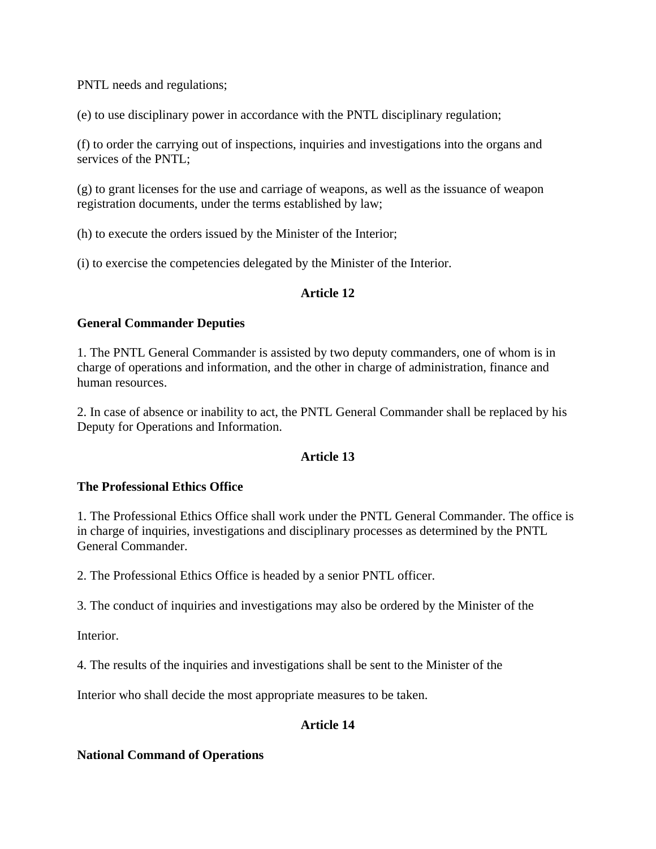PNTL needs and regulations;

(e) to use disciplinary power in accordance with the PNTL disciplinary regulation;

(f) to order the carrying out of inspections, inquiries and investigations into the organs and services of the PNTL;

(g) to grant licenses for the use and carriage of weapons, as well as the issuance of weapon registration documents, under the terms established by law;

(h) to execute the orders issued by the Minister of the Interior;

(i) to exercise the competencies delegated by the Minister of the Interior.

## **Article 12**

## **General Commander Deputies**

1. The PNTL General Commander is assisted by two deputy commanders, one of whom is in charge of operations and information, and the other in charge of administration, finance and human resources.

2. In case of absence or inability to act, the PNTL General Commander shall be replaced by his Deputy for Operations and Information.

# **Article 13**

# **The Professional Ethics Office**

1. The Professional Ethics Office shall work under the PNTL General Commander. The office is in charge of inquiries, investigations and disciplinary processes as determined by the PNTL General Commander.

2. The Professional Ethics Office is headed by a senior PNTL officer.

3. The conduct of inquiries and investigations may also be ordered by the Minister of the

Interior.

4. The results of the inquiries and investigations shall be sent to the Minister of the

Interior who shall decide the most appropriate measures to be taken.

# **Article 14**

# **National Command of Operations**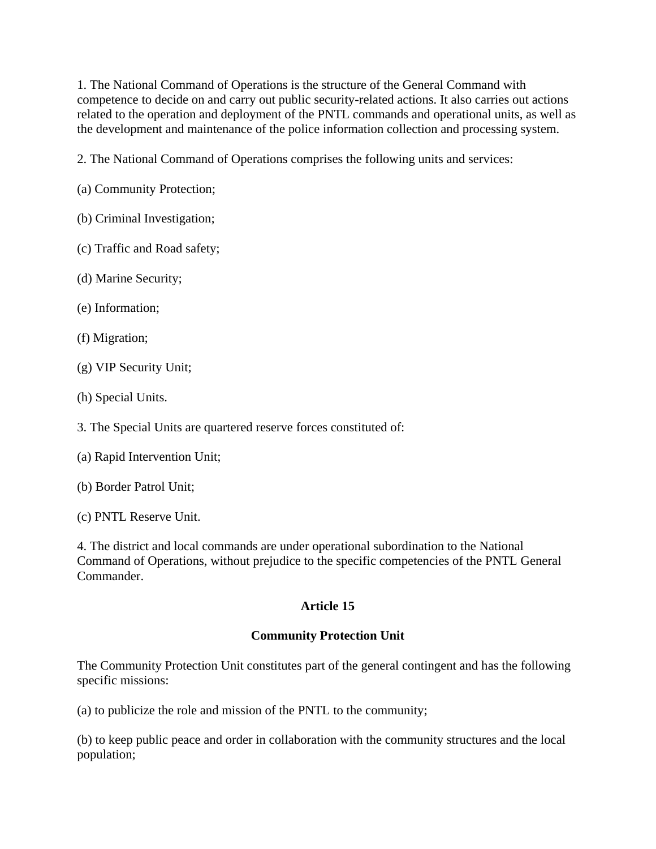1. The National Command of Operations is the structure of the General Command with competence to decide on and carry out public security-related actions. It also carries out actions related to the operation and deployment of the PNTL commands and operational units, as well as the development and maintenance of the police information collection and processing system.

2. The National Command of Operations comprises the following units and services:

- (a) Community Protection;
- (b) Criminal Investigation;
- (c) Traffic and Road safety;
- (d) Marine Security;
- (e) Information;
- (f) Migration;
- (g) VIP Security Unit;
- (h) Special Units.
- 3. The Special Units are quartered reserve forces constituted of:
- (a) Rapid Intervention Unit;
- (b) Border Patrol Unit;
- (c) PNTL Reserve Unit.

4. The district and local commands are under operational subordination to the National Command of Operations, without prejudice to the specific competencies of the PNTL General Commander.

# **Article 15**

# **Community Protection Unit**

The Community Protection Unit constitutes part of the general contingent and has the following specific missions:

(a) to publicize the role and mission of the PNTL to the community;

(b) to keep public peace and order in collaboration with the community structures and the local population;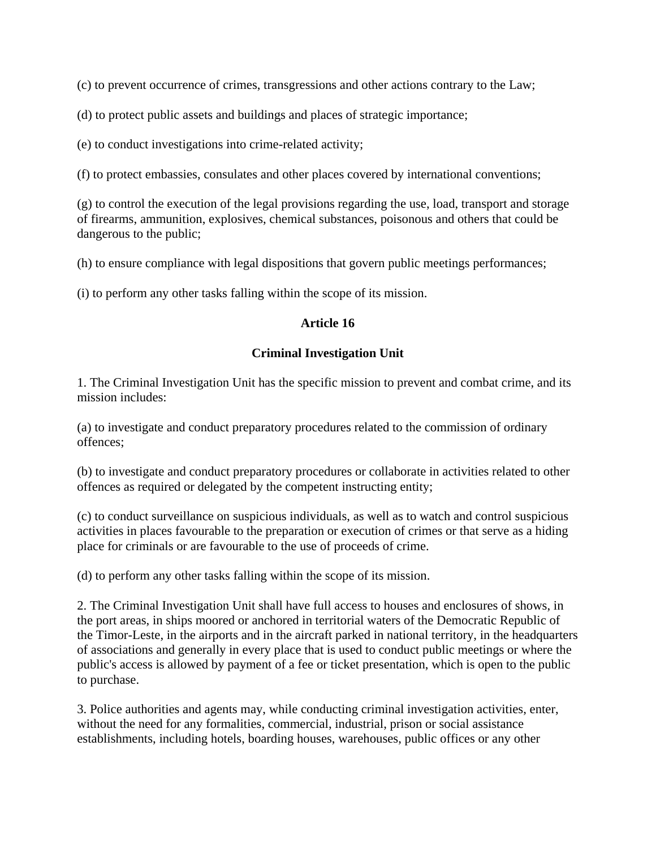(c) to prevent occurrence of crimes, transgressions and other actions contrary to the Law;

(d) to protect public assets and buildings and places of strategic importance;

(e) to conduct investigations into crime-related activity;

(f) to protect embassies, consulates and other places covered by international conventions;

(g) to control the execution of the legal provisions regarding the use, load, transport and storage of firearms, ammunition, explosives, chemical substances, poisonous and others that could be dangerous to the public;

(h) to ensure compliance with legal dispositions that govern public meetings performances;

(i) to perform any other tasks falling within the scope of its mission.

## **Article 16**

## **Criminal Investigation Unit**

1. The Criminal Investigation Unit has the specific mission to prevent and combat crime, and its mission includes:

(a) to investigate and conduct preparatory procedures related to the commission of ordinary offences;

(b) to investigate and conduct preparatory procedures or collaborate in activities related to other offences as required or delegated by the competent instructing entity;

(c) to conduct surveillance on suspicious individuals, as well as to watch and control suspicious activities in places favourable to the preparation or execution of crimes or that serve as a hiding place for criminals or are favourable to the use of proceeds of crime.

(d) to perform any other tasks falling within the scope of its mission.

2. The Criminal Investigation Unit shall have full access to houses and enclosures of shows, in the port areas, in ships moored or anchored in territorial waters of the Democratic Republic of the Timor-Leste, in the airports and in the aircraft parked in national territory, in the headquarters of associations and generally in every place that is used to conduct public meetings or where the public's access is allowed by payment of a fee or ticket presentation, which is open to the public to purchase.

3. Police authorities and agents may, while conducting criminal investigation activities, enter, without the need for any formalities, commercial, industrial, prison or social assistance establishments, including hotels, boarding houses, warehouses, public offices or any other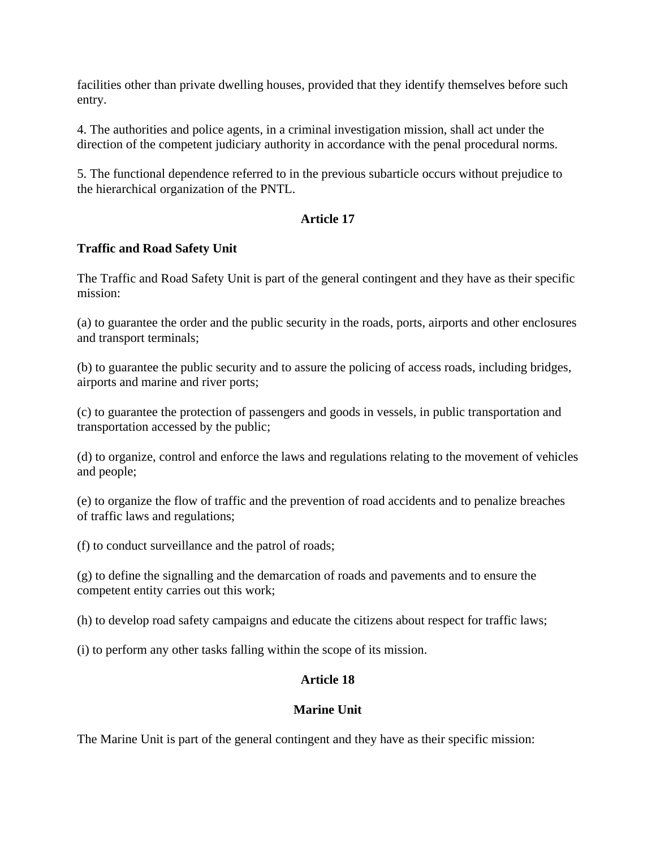facilities other than private dwelling houses, provided that they identify themselves before such entry.

4. The authorities and police agents, in a criminal investigation mission, shall act under the direction of the competent judiciary authority in accordance with the penal procedural norms.

5. The functional dependence referred to in the previous subarticle occurs without prejudice to the hierarchical organization of the PNTL.

# **Article 17**

## **Traffic and Road Safety Unit**

The Traffic and Road Safety Unit is part of the general contingent and they have as their specific mission:

(a) to guarantee the order and the public security in the roads, ports, airports and other enclosures and transport terminals;

(b) to guarantee the public security and to assure the policing of access roads, including bridges, airports and marine and river ports;

(c) to guarantee the protection of passengers and goods in vessels, in public transportation and transportation accessed by the public;

(d) to organize, control and enforce the laws and regulations relating to the movement of vehicles and people;

(e) to organize the flow of traffic and the prevention of road accidents and to penalize breaches of traffic laws and regulations;

(f) to conduct surveillance and the patrol of roads;

(g) to define the signalling and the demarcation of roads and pavements and to ensure the competent entity carries out this work;

(h) to develop road safety campaigns and educate the citizens about respect for traffic laws;

(i) to perform any other tasks falling within the scope of its mission.

# **Article 18**

## **Marine Unit**

The Marine Unit is part of the general contingent and they have as their specific mission: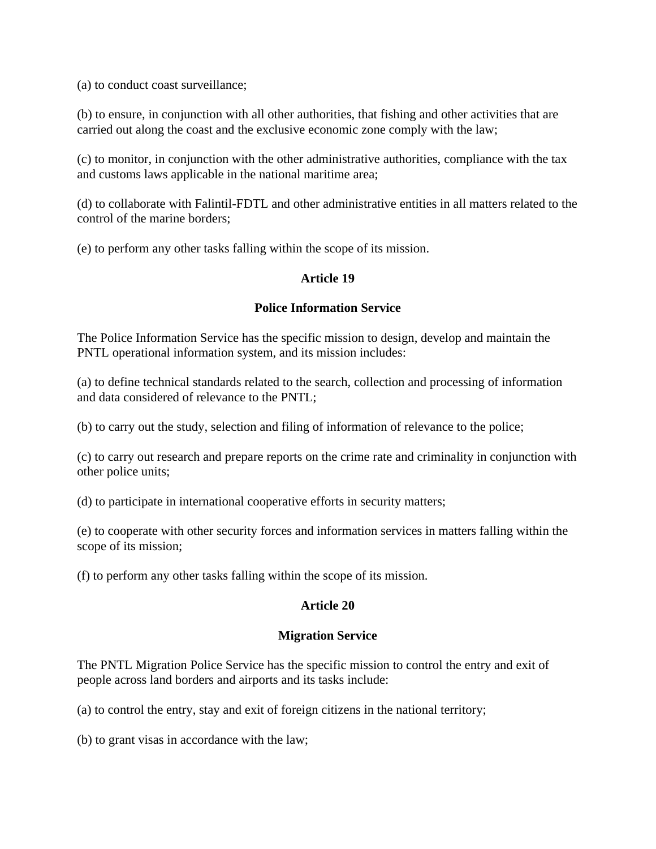(a) to conduct coast surveillance;

(b) to ensure, in conjunction with all other authorities, that fishing and other activities that are carried out along the coast and the exclusive economic zone comply with the law;

(c) to monitor, in conjunction with the other administrative authorities, compliance with the tax and customs laws applicable in the national maritime area;

(d) to collaborate with Falintil-FDTL and other administrative entities in all matters related to the control of the marine borders;

(e) to perform any other tasks falling within the scope of its mission.

## **Article 19**

# **Police Information Service**

The Police Information Service has the specific mission to design, develop and maintain the PNTL operational information system, and its mission includes:

(a) to define technical standards related to the search, collection and processing of information and data considered of relevance to the PNTL;

(b) to carry out the study, selection and filing of information of relevance to the police;

(c) to carry out research and prepare reports on the crime rate and criminality in conjunction with other police units;

(d) to participate in international cooperative efforts in security matters;

(e) to cooperate with other security forces and information services in matters falling within the scope of its mission;

(f) to perform any other tasks falling within the scope of its mission.

# **Article 20**

## **Migration Service**

The PNTL Migration Police Service has the specific mission to control the entry and exit of people across land borders and airports and its tasks include:

(a) to control the entry, stay and exit of foreign citizens in the national territory;

(b) to grant visas in accordance with the law;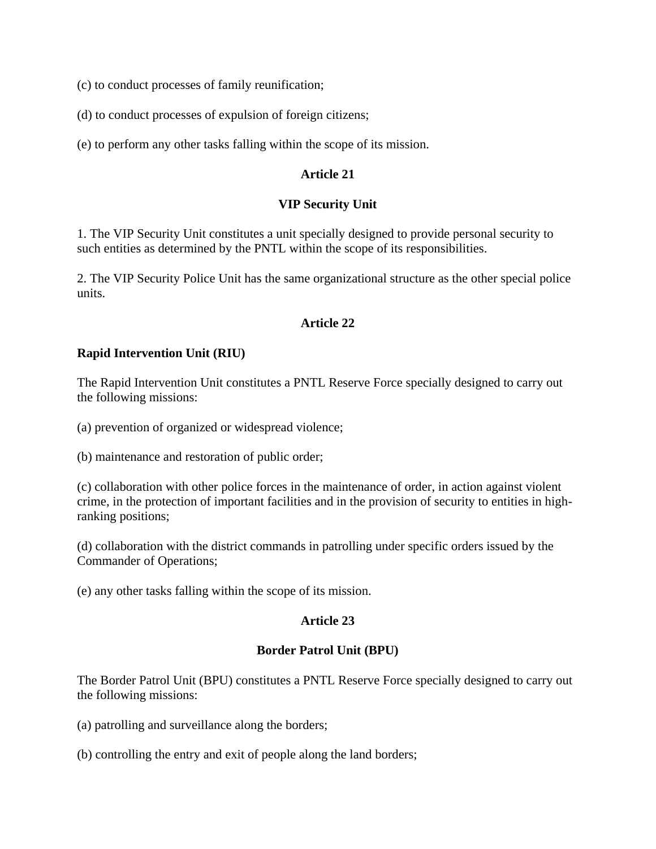(c) to conduct processes of family reunification;

(d) to conduct processes of expulsion of foreign citizens;

(e) to perform any other tasks falling within the scope of its mission.

#### **Article 21**

#### **VIP Security Unit**

1. The VIP Security Unit constitutes a unit specially designed to provide personal security to such entities as determined by the PNTL within the scope of its responsibilities.

2. The VIP Security Police Unit has the same organizational structure as the other special police units.

#### **Article 22**

#### **Rapid Intervention Unit (RIU)**

The Rapid Intervention Unit constitutes a PNTL Reserve Force specially designed to carry out the following missions:

(a) prevention of organized or widespread violence;

(b) maintenance and restoration of public order;

(c) collaboration with other police forces in the maintenance of order, in action against violent crime, in the protection of important facilities and in the provision of security to entities in highranking positions;

(d) collaboration with the district commands in patrolling under specific orders issued by the Commander of Operations;

(e) any other tasks falling within the scope of its mission.

## **Article 23**

#### **Border Patrol Unit (BPU)**

The Border Patrol Unit (BPU) constitutes a PNTL Reserve Force specially designed to carry out the following missions:

(a) patrolling and surveillance along the borders;

(b) controlling the entry and exit of people along the land borders;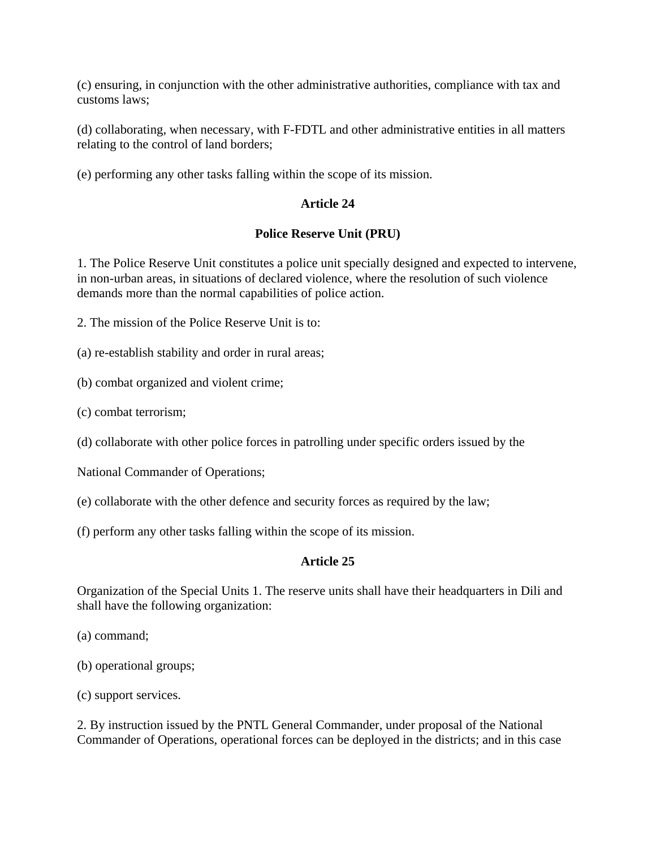(c) ensuring, in conjunction with the other administrative authorities, compliance with tax and customs laws;

(d) collaborating, when necessary, with F-FDTL and other administrative entities in all matters relating to the control of land borders;

(e) performing any other tasks falling within the scope of its mission.

## **Article 24**

## **Police Reserve Unit (PRU)**

1. The Police Reserve Unit constitutes a police unit specially designed and expected to intervene, in non-urban areas, in situations of declared violence, where the resolution of such violence demands more than the normal capabilities of police action.

2. The mission of the Police Reserve Unit is to:

(a) re-establish stability and order in rural areas;

(b) combat organized and violent crime;

(c) combat terrorism;

(d) collaborate with other police forces in patrolling under specific orders issued by the

National Commander of Operations;

(e) collaborate with the other defence and security forces as required by the law;

(f) perform any other tasks falling within the scope of its mission.

# **Article 25**

Organization of the Special Units 1. The reserve units shall have their headquarters in Dili and shall have the following organization:

- (a) command;
- (b) operational groups;
- (c) support services.

2. By instruction issued by the PNTL General Commander, under proposal of the National Commander of Operations, operational forces can be deployed in the districts; and in this case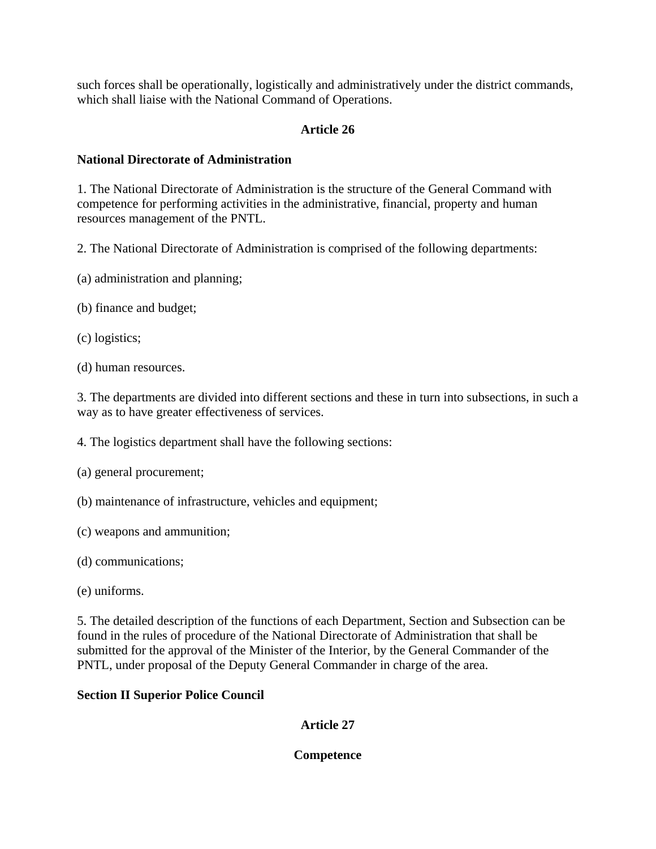such forces shall be operationally, logistically and administratively under the district commands, which shall liaise with the National Command of Operations.

# **Article 26**

## **National Directorate of Administration**

1. The National Directorate of Administration is the structure of the General Command with competence for performing activities in the administrative, financial, property and human resources management of the PNTL.

2. The National Directorate of Administration is comprised of the following departments:

- (a) administration and planning;
- (b) finance and budget;
- (c) logistics;
- (d) human resources.

3. The departments are divided into different sections and these in turn into subsections, in such a way as to have greater effectiveness of services.

4. The logistics department shall have the following sections:

- (a) general procurement;
- (b) maintenance of infrastructure, vehicles and equipment;
- (c) weapons and ammunition;
- (d) communications;
- (e) uniforms.

5. The detailed description of the functions of each Department, Section and Subsection can be found in the rules of procedure of the National Directorate of Administration that shall be submitted for the approval of the Minister of the Interior, by the General Commander of the PNTL, under proposal of the Deputy General Commander in charge of the area.

## **Section II Superior Police Council**

**Article 27** 

## **Competence**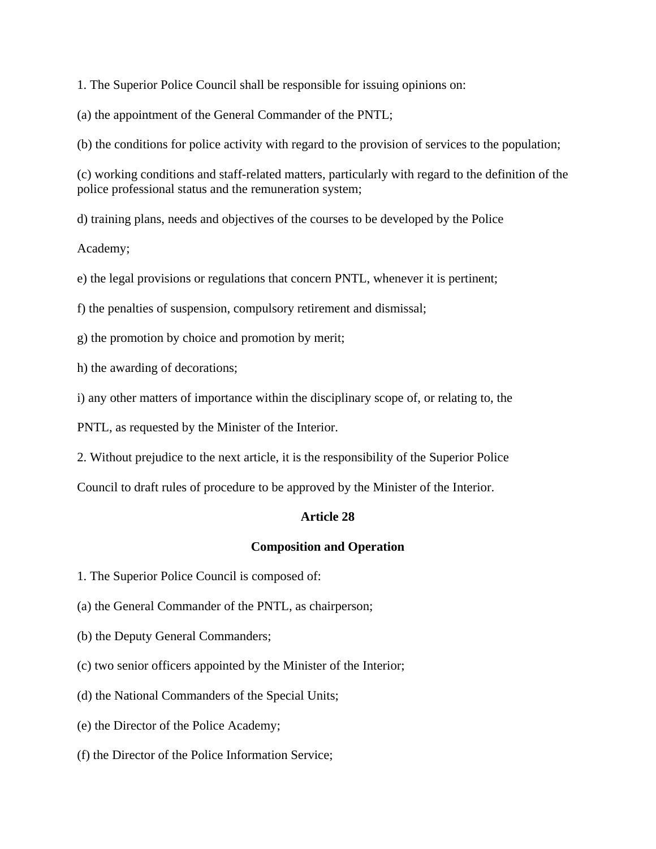1. The Superior Police Council shall be responsible for issuing opinions on:

(a) the appointment of the General Commander of the PNTL;

(b) the conditions for police activity with regard to the provision of services to the population;

(c) working conditions and staff-related matters, particularly with regard to the definition of the police professional status and the remuneration system;

d) training plans, needs and objectives of the courses to be developed by the Police

Academy;

e) the legal provisions or regulations that concern PNTL, whenever it is pertinent;

f) the penalties of suspension, compulsory retirement and dismissal;

g) the promotion by choice and promotion by merit;

h) the awarding of decorations;

i) any other matters of importance within the disciplinary scope of, or relating to, the

PNTL, as requested by the Minister of the Interior.

2. Without prejudice to the next article, it is the responsibility of the Superior Police

Council to draft rules of procedure to be approved by the Minister of the Interior.

## **Article 28**

#### **Composition and Operation**

1. The Superior Police Council is composed of:

(a) the General Commander of the PNTL, as chairperson;

(b) the Deputy General Commanders;

(c) two senior officers appointed by the Minister of the Interior;

(d) the National Commanders of the Special Units;

(e) the Director of the Police Academy;

(f) the Director of the Police Information Service;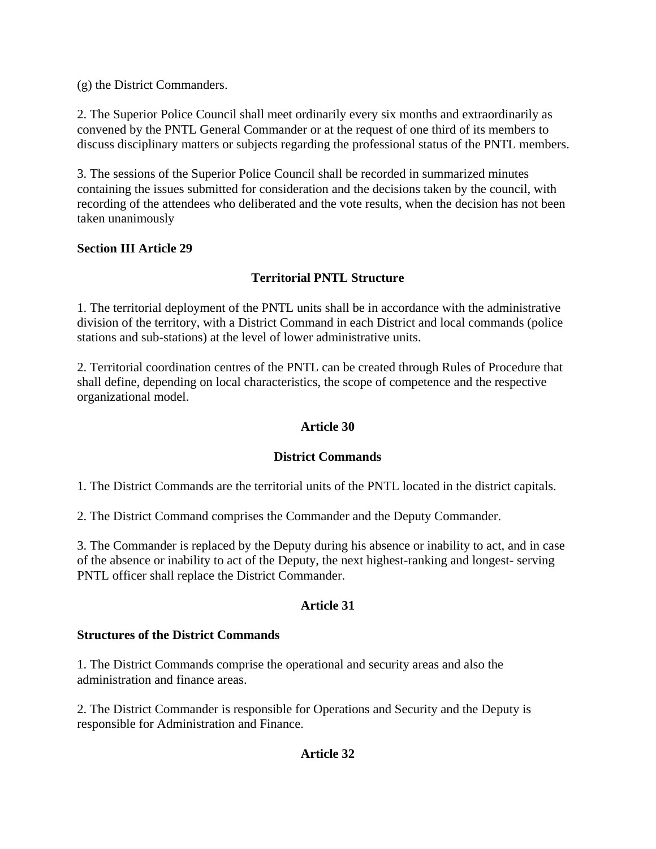(g) the District Commanders.

2. The Superior Police Council shall meet ordinarily every six months and extraordinarily as convened by the PNTL General Commander or at the request of one third of its members to discuss disciplinary matters or subjects regarding the professional status of the PNTL members.

3. The sessions of the Superior Police Council shall be recorded in summarized minutes containing the issues submitted for consideration and the decisions taken by the council, with recording of the attendees who deliberated and the vote results, when the decision has not been taken unanimously

## **Section III Article 29**

# **Territorial PNTL Structure**

1. The territorial deployment of the PNTL units shall be in accordance with the administrative division of the territory, with a District Command in each District and local commands (police stations and sub-stations) at the level of lower administrative units.

2. Territorial coordination centres of the PNTL can be created through Rules of Procedure that shall define, depending on local characteristics, the scope of competence and the respective organizational model.

## **Article 30**

# **District Commands**

1. The District Commands are the territorial units of the PNTL located in the district capitals.

2. The District Command comprises the Commander and the Deputy Commander.

3. The Commander is replaced by the Deputy during his absence or inability to act, and in case of the absence or inability to act of the Deputy, the next highest-ranking and longest- serving PNTL officer shall replace the District Commander.

## **Article 31**

## **Structures of the District Commands**

1. The District Commands comprise the operational and security areas and also the administration and finance areas.

2. The District Commander is responsible for Operations and Security and the Deputy is responsible for Administration and Finance.

# **Article 32**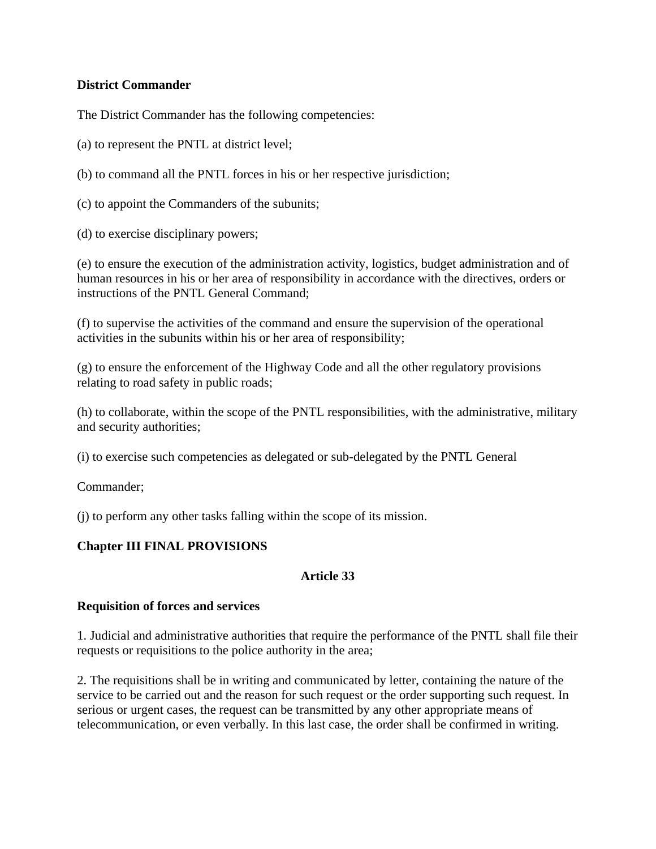# **District Commander**

The District Commander has the following competencies:

- (a) to represent the PNTL at district level;
- (b) to command all the PNTL forces in his or her respective jurisdiction;
- (c) to appoint the Commanders of the subunits;
- (d) to exercise disciplinary powers;

(e) to ensure the execution of the administration activity, logistics, budget administration and of human resources in his or her area of responsibility in accordance with the directives, orders or instructions of the PNTL General Command;

(f) to supervise the activities of the command and ensure the supervision of the operational activities in the subunits within his or her area of responsibility;

(g) to ensure the enforcement of the Highway Code and all the other regulatory provisions relating to road safety in public roads;

(h) to collaborate, within the scope of the PNTL responsibilities, with the administrative, military and security authorities;

(i) to exercise such competencies as delegated or sub-delegated by the PNTL General

Commander;

(j) to perform any other tasks falling within the scope of its mission.

# **Chapter III FINAL PROVISIONS**

# **Article 33**

# **Requisition of forces and services**

1. Judicial and administrative authorities that require the performance of the PNTL shall file their requests or requisitions to the police authority in the area;

2. The requisitions shall be in writing and communicated by letter, containing the nature of the service to be carried out and the reason for such request or the order supporting such request. In serious or urgent cases, the request can be transmitted by any other appropriate means of telecommunication, or even verbally. In this last case, the order shall be confirmed in writing.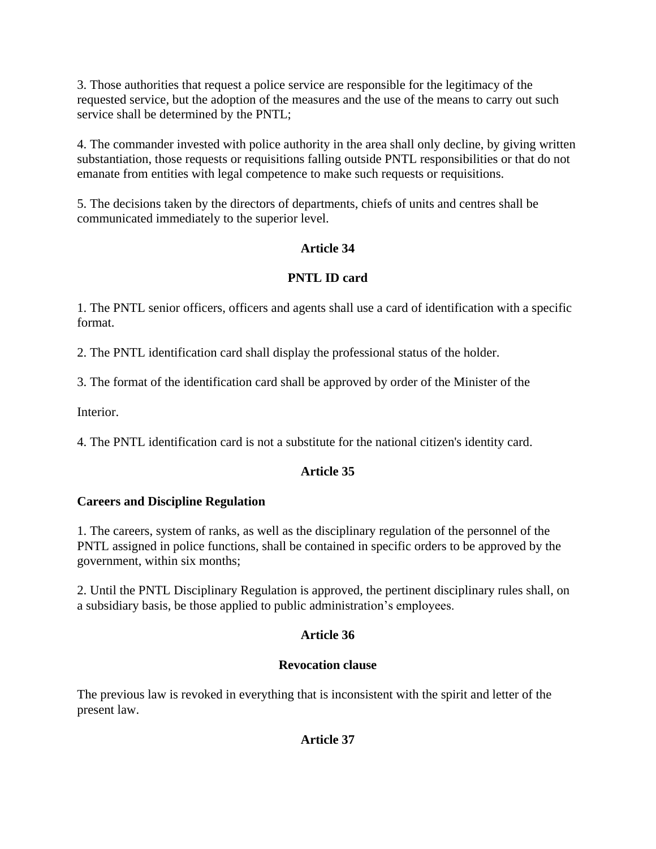3. Those authorities that request a police service are responsible for the legitimacy of the requested service, but the adoption of the measures and the use of the means to carry out such service shall be determined by the PNTL;

4. The commander invested with police authority in the area shall only decline, by giving written substantiation, those requests or requisitions falling outside PNTL responsibilities or that do not emanate from entities with legal competence to make such requests or requisitions.

5. The decisions taken by the directors of departments, chiefs of units and centres shall be communicated immediately to the superior level.

# **Article 34**

# **PNTL ID card**

1. The PNTL senior officers, officers and agents shall use a card of identification with a specific format.

2. The PNTL identification card shall display the professional status of the holder.

3. The format of the identification card shall be approved by order of the Minister of the

Interior.

4. The PNTL identification card is not a substitute for the national citizen's identity card.

# **Article 35**

# **Careers and Discipline Regulation**

1. The careers, system of ranks, as well as the disciplinary regulation of the personnel of the PNTL assigned in police functions, shall be contained in specific orders to be approved by the government, within six months;

2. Until the PNTL Disciplinary Regulation is approved, the pertinent disciplinary rules shall, on a subsidiary basis, be those applied to public administration's employees.

# **Article 36**

# **Revocation clause**

The previous law is revoked in everything that is inconsistent with the spirit and letter of the present law.

# **Article 37**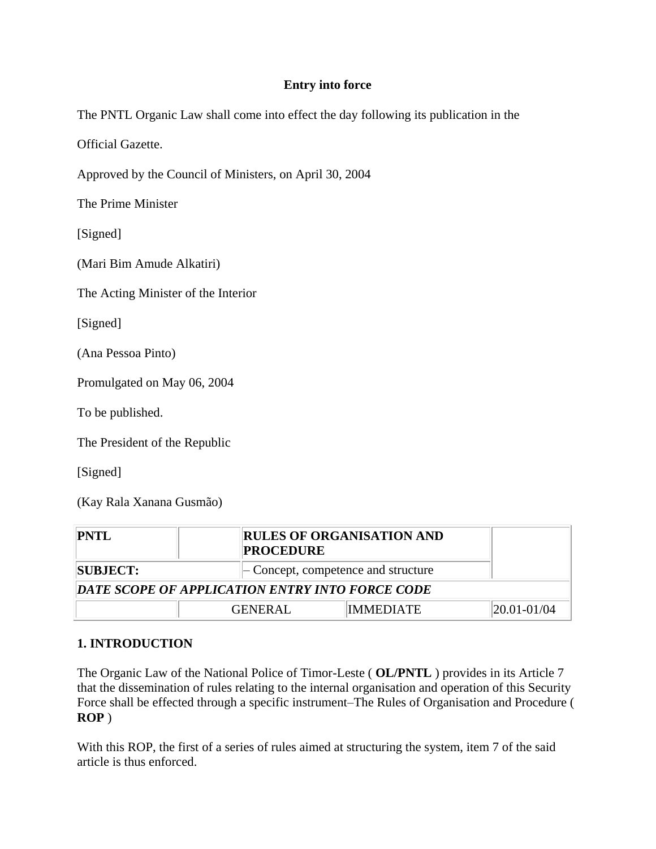# **Entry into force**

The PNTL Organic Law shall come into effect the day following its publication in the

Official Gazette.

Approved by the Council of Ministers, on April 30, 2004

The Prime Minister

[Signed]

(Mari Bim Amude Alkatiri)

The Acting Minister of the Interior

[Signed]

(Ana Pessoa Pinto)

Promulgated on May 06, 2004

To be published.

The President of the Republic

[Signed]

(Kay Rala Xanana Gusmão)

| PNTL                                            | <b>PROCEDURE</b> | <b>RULES OF ORGANISATION AND</b>                |                   |  |  |
|-------------------------------------------------|------------------|-------------------------------------------------|-------------------|--|--|
| <b>SUBJECT:</b>                                 |                  | $\mathcal{L}$ Concept, competence and structure |                   |  |  |
| DATE SCOPE OF APPLICATION ENTRY INTO FORCE CODE |                  |                                                 |                   |  |  |
|                                                 | <b>GENERAL</b>   | <b>IMMEDIATE</b>                                | $ 20.01 - 01/04 $ |  |  |

# **1. INTRODUCTION**

The Organic Law of the National Police of Timor-Leste ( **OL/PNTL** ) provides in its Article 7 that the dissemination of rules relating to the internal organisation and operation of this Security Force shall be effected through a specific instrument–The Rules of Organisation and Procedure ( **ROP** )

With this ROP, the first of a series of rules aimed at structuring the system, item 7 of the said article is thus enforced.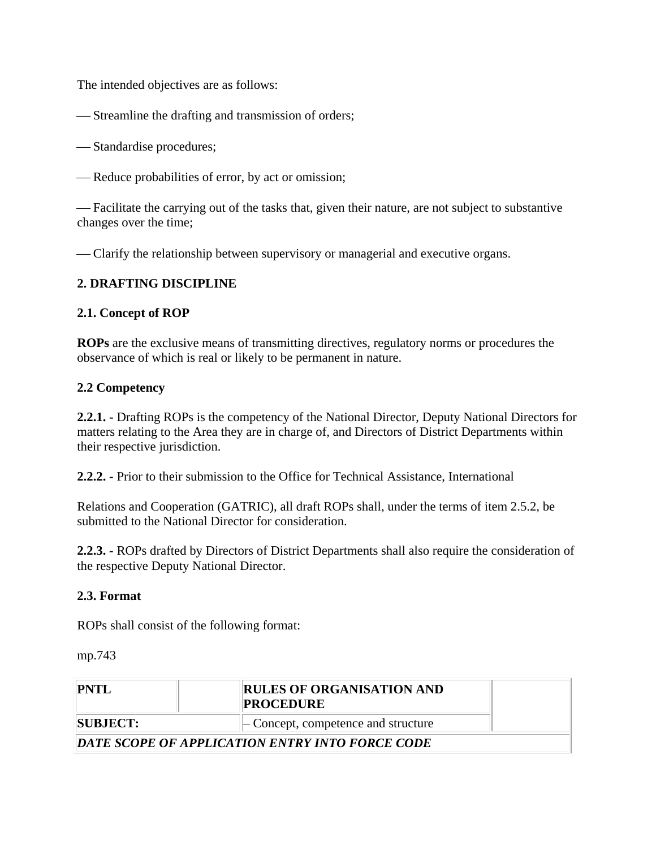The intended objectives are as follows:

Streamline the drafting and transmission of orders;

Standardise procedures;

Reduce probabilities of error, by act or omission;

 Facilitate the carrying out of the tasks that, given their nature, are not subject to substantive changes over the time;

Clarify the relationship between supervisory or managerial and executive organs.

# **2. DRAFTING DISCIPLINE**

## **2.1. Concept of ROP**

**ROPs** are the exclusive means of transmitting directives, regulatory norms or procedures the observance of which is real or likely to be permanent in nature.

## **2.2 Competency**

**2.2.1. -** Drafting ROPs is the competency of the National Director, Deputy National Directors for matters relating to the Area they are in charge of, and Directors of District Departments within their respective jurisdiction.

**2.2.2. -** Prior to their submission to the Office for Technical Assistance, International

Relations and Cooperation (GATRIC), all draft ROPs shall, under the terms of item 2.5.2, be submitted to the National Director for consideration.

**2.2.3. -** ROPs drafted by Directors of District Departments shall also require the consideration of the respective Deputy National Director.

## **2.3. Format**

ROPs shall consist of the following format:

mp.743

| PNTL            | <b>RULES OF ORGANISATION AND</b><br><b>PROCEDURE</b> |  |
|-----------------|------------------------------------------------------|--|
| <b>SUBJECT:</b> | $\vert$ – Concept, competence and structure          |  |
|                 | DATE SCOPE OF APPLICATION ENTRY INTO FORCE CODE      |  |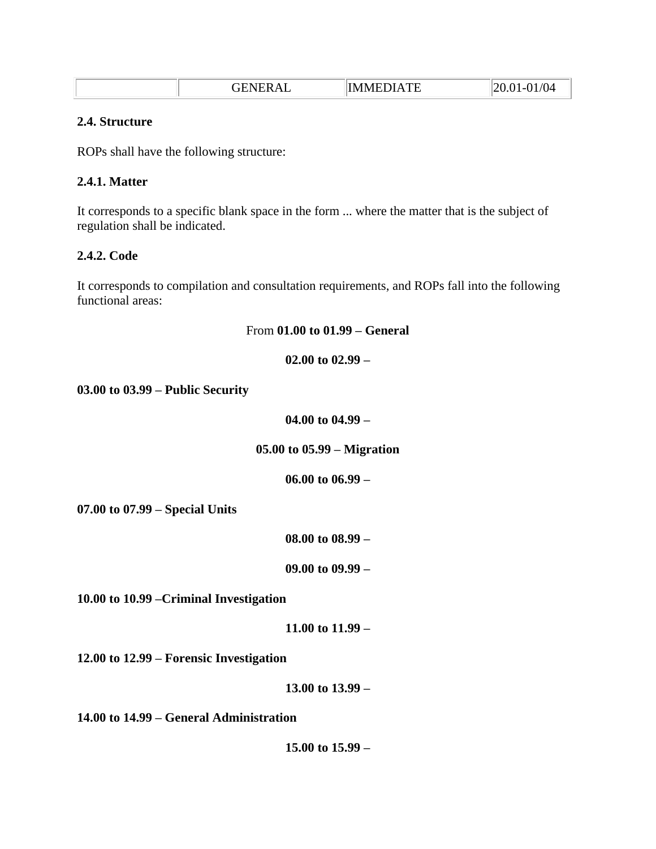|  | GENERAL | <b>IMMEDIATE</b> | 01/04<br>20.01<br>$-1$ |
|--|---------|------------------|------------------------|
|--|---------|------------------|------------------------|

#### **2.4. Structure**

ROPs shall have the following structure:

## **2.4.1. Matter**

It corresponds to a specific blank space in the form ... where the matter that is the subject of regulation shall be indicated.

## **2.4.2. Code**

It corresponds to compilation and consultation requirements, and ROPs fall into the following functional areas:

From **01.00 to 01.99 – General** 

**02.00 to 02.99 – 03.00 to 03.99 – Public Security 04.00 to 04.99 – 05.00 to 05.99 – Migration 06.00 to 06.99 – 07.00 to 07.99 – Special Units 08.00 to 08.99 – 09.00 to 09.99 – 10.00 to 10.99 –Criminal Investigation 11.00 to 11.99 – 12.00 to 12.99 – Forensic Investigation 13.00 to 13.99 – 14.00 to 14.99 – General Administration 15.00 to 15.99 –**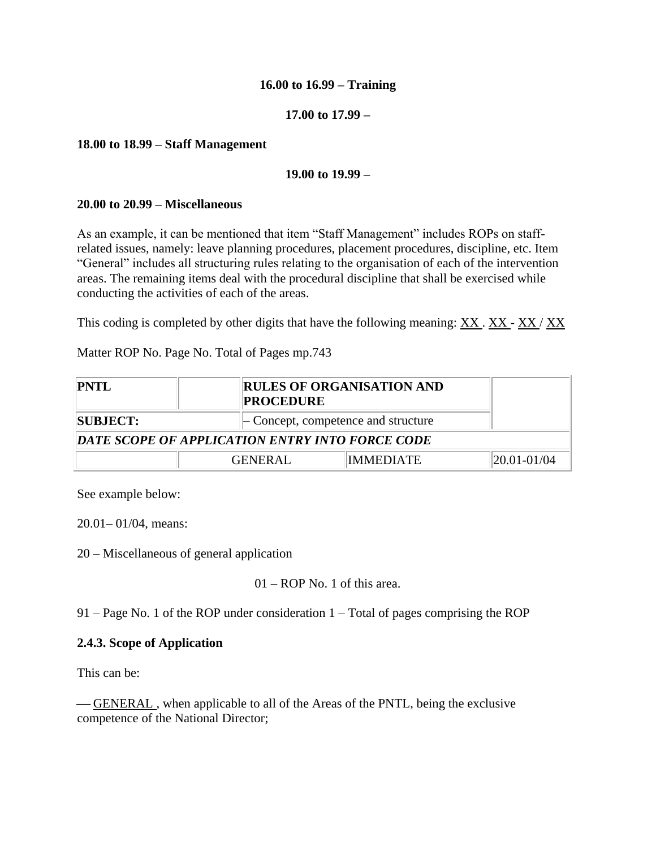## **16.00 to 16.99 – Training**

## **17.00 to 17.99 –**

## **18.00 to 18.99 – Staff Management**

## **19.00 to 19.99 –**

#### **20.00 to 20.99 – Miscellaneous**

As an example, it can be mentioned that item "Staff Management" includes ROPs on staffrelated issues, namely: leave planning procedures, placement procedures, discipline, etc. Item "General" includes all structuring rules relating to the organisation of each of the intervention areas. The remaining items deal with the procedural discipline that shall be exercised while conducting the activities of each of the areas.

This coding is completed by other digits that have the following meaning:  $\overline{XX} \cdot \overline{XX} - \overline{XX} / \overline{XX}$ 

Matter ROP No. Page No. Total of Pages mp.743

| <b>PNTL</b>                                     | <b>PROCEDURE</b>                                | <b>RULES OF ORGANISATION AND</b> |                   |  |  |
|-------------------------------------------------|-------------------------------------------------|----------------------------------|-------------------|--|--|
| <b>SUBJECT:</b>                                 | $\mathcal{L}$ Concept, competence and structure |                                  |                   |  |  |
| DATE SCOPE OF APPLICATION ENTRY INTO FORCE CODE |                                                 |                                  |                   |  |  |
|                                                 | <b>GENERAL</b>                                  | IMMEDIATE                        | $ 20.01 - 01/04 $ |  |  |

See example below:

20.01– 01/04, means:

20 – Miscellaneous of general application

```
01 – ROP No. 1 of this area.
```
91 – Page No. 1 of the ROP under consideration 1 – Total of pages comprising the ROP

## **2.4.3. Scope of Application**

This can be:

 GENERAL , when applicable to all of the Areas of the PNTL, being the exclusive competence of the National Director;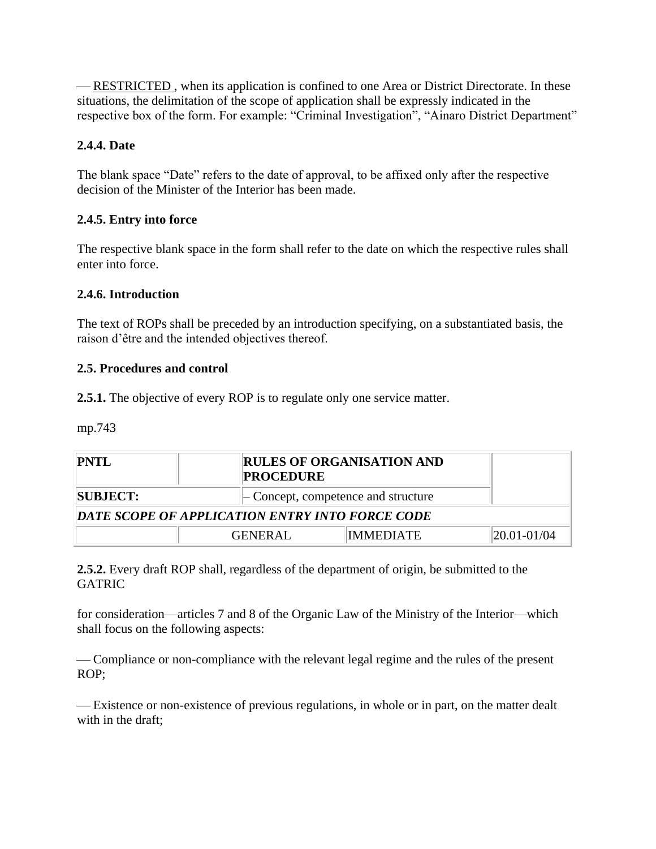— RESTRICTED, when its application is confined to one Area or District Directorate. In these situations, the delimitation of the scope of application shall be expressly indicated in the respective box of the form. For example: "Criminal Investigation", "Ainaro District Department"

# **2.4.4. Date**

The blank space "Date" refers to the date of approval, to be affixed only after the respective decision of the Minister of the Interior has been made.

## **2.4.5. Entry into force**

The respective blank space in the form shall refer to the date on which the respective rules shall enter into force.

## **2.4.6. Introduction**

The text of ROPs shall be preceded by an introduction specifying, on a substantiated basis, the raison d'être and the intended objectives thereof.

## **2.5. Procedures and control**

**2.5.1.** The objective of every ROP is to regulate only one service matter.

mp.743

| PNTL                                            |                | <b>RULES OF ORGANISATION AND</b><br><b>PROCEDURE</b> |             |  |  |
|-------------------------------------------------|----------------|------------------------------------------------------|-------------|--|--|
| <b>SUBJECT:</b>                                 |                | $\vert$ - Concept, competence and structure          |             |  |  |
| DATE SCOPE OF APPLICATION ENTRY INTO FORCE CODE |                |                                                      |             |  |  |
|                                                 | <b>GENERAL</b> | IMMEDIATE                                            | 20.01-01/04 |  |  |

**2.5.2.** Every draft ROP shall, regardless of the department of origin, be submitted to the GATRIC

for consideration—articles 7 and 8 of the Organic Law of the Ministry of the Interior—which shall focus on the following aspects:

 Compliance or non-compliance with the relevant legal regime and the rules of the present ROP;

 Existence or non-existence of previous regulations, in whole or in part, on the matter dealt with in the draft;